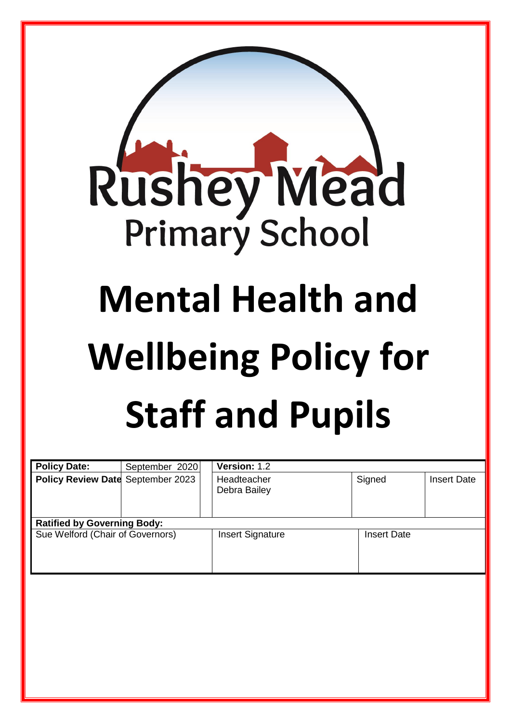

| <b>Policy Date:</b>                | September 2020 | Version: 1.2                |                    |                    |
|------------------------------------|----------------|-----------------------------|--------------------|--------------------|
| Policy Review Date September 2023  |                | Headteacher<br>Debra Bailey | Signed             | <b>Insert Date</b> |
| <b>Ratified by Governing Body:</b> |                |                             |                    |                    |
| Sue Welford (Chair of Governors)   |                | <b>Insert Signature</b>     | <b>Insert Date</b> |                    |
|                                    |                |                             |                    |                    |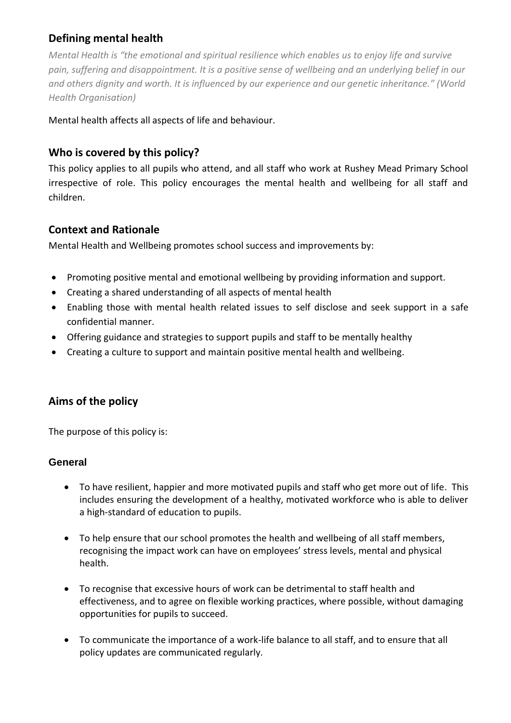# **Defining mental health**

*Mental Health is "the emotional and spiritual resilience which enables us to enjoy life and survive pain, suffering and disappointment. It is a positive sense of wellbeing and an underlying belief in our and others dignity and worth. It is influenced by our experience and our genetic inheritance." (World Health Organisation)*

Mental health affects all aspects of life and behaviour.

# **Who is covered by this policy?**

This policy applies to all pupils who attend, and all staff who work at Rushey Mead Primary School irrespective of role. This policy encourages the mental health and wellbeing for all staff and children.

### **Context and Rationale**

Mental Health and Wellbeing promotes school success and improvements by:

- Promoting positive mental and emotional wellbeing by providing information and support.
- Creating a shared understanding of all aspects of mental health
- Enabling those with mental health related issues to self disclose and seek support in a safe confidential manner.
- Offering guidance and strategies to support pupils and staff to be mentally healthy
- Creating a culture to support and maintain positive mental health and wellbeing.

## **Aims of the policy**

The purpose of this policy is:

### **General**

- To have resilient, happier and more motivated pupils and staff who get more out of life. This includes ensuring the development of a healthy, motivated workforce who is able to deliver a high-standard of education to pupils.
- To help ensure that our school promotes the health and wellbeing of all staff members, recognising the impact work can have on employees' stress levels, mental and physical health.
- To recognise that excessive hours of work can be detrimental to staff health and effectiveness, and to agree on flexible working practices, where possible, without damaging opportunities for pupils to succeed.
- To communicate the importance of a work-life balance to all staff, and to ensure that all policy updates are communicated regularly.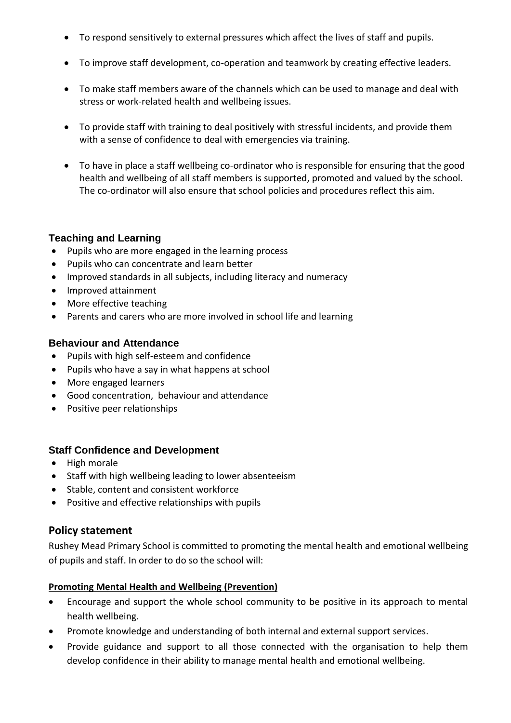- To respond sensitively to external pressures which affect the lives of staff and pupils.
- To improve staff development, co-operation and teamwork by creating effective leaders.
- To make staff members aware of the channels which can be used to manage and deal with stress or work-related health and wellbeing issues.
- To provide staff with training to deal positively with stressful incidents, and provide them with a sense of confidence to deal with emergencies via training.
- To have in place a staff wellbeing co-ordinator who is responsible for ensuring that the good health and wellbeing of all staff members is supported, promoted and valued by the school. The co-ordinator will also ensure that school policies and procedures reflect this aim.

### **Teaching and Learning**

- Pupils who are more engaged in the learning process
- Pupils who can concentrate and learn better
- Improved standards in all subjects, including literacy and numeracy
- Improved attainment
- More effective teaching
- Parents and carers who are more involved in school life and learning

### **Behaviour and Attendance**

- Pupils with high self-esteem and confidence
- Pupils who have a say in what happens at school
- More engaged learners
- Good concentration, behaviour and attendance
- Positive peer relationships

### **Staff Confidence and Development**

- High morale
- Staff with high wellbeing leading to lower absenteeism
- Stable, content and consistent workforce
- Positive and effective relationships with pupils

### **Policy statement**

Rushey Mead Primary School is committed to promoting the mental health and emotional wellbeing of pupils and staff. In order to do so the school will:

#### **Promoting Mental Health and Wellbeing (Prevention)**

- Encourage and support the whole school community to be positive in its approach to mental health wellbeing.
- Promote knowledge and understanding of both internal and external support services.
- Provide guidance and support to all those connected with the organisation to help them develop confidence in their ability to manage mental health and emotional wellbeing.